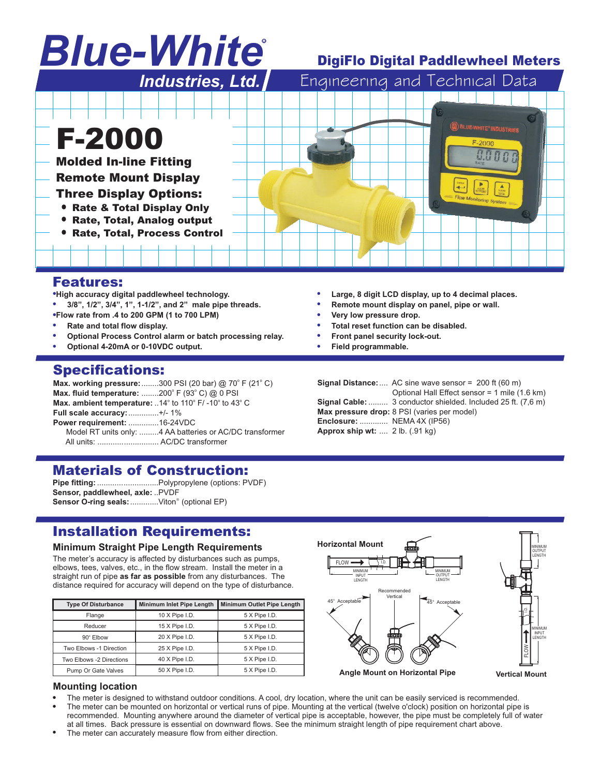# *Blue-White* R

## DigiFlo Digital Paddlewheel Meters



### Features:

**High accuracy digital paddlewheel technology.**<br>• 3/8" 1/2" 3/4" 1" 1-1/2" and <sup>2"</sup> male nine

- **3/8", 1/2", 3/4", 1", 1-1/2", and 2" male pipe threads.**
- **Flow rate from .4 to 200 GPM (1 to 700 LPM)**
- -**Rate and total flow display.**
- --**Optional Process Control alarm or batch processing relay.**
- **Optional 4-20mA or 0-10VDC output.**

## Specifications:

**Max. working pressure:** ........300 PSI (20 bar) @ 70° F (21° C) **Max. fluid temperature:** ........200° F (93° C) @ 0 PSI Max. ambient temperature: ..14° to 110° F/-10° to 43° C **Full scale accuracy:** ..............+/- 1% **Power requirement:** ..............16-24VDC Model RT units only: .........4 AA batteries or AC/DC transformer All units: ............................ AC/DC transformer

## Materials of Construction:

Pipe fitting: ............................Polypropylene (options: PVDF) **Sensor, paddlewheel, axle:** ..PVDF Sensor O-ring seals: .............Viton<sup>®</sup> (optional EP)

## Installation Requirements:

#### **Minimum Straight Pipe Length Requirements**

The meter's accuracy is affected by disturbances such as pumps, elbows, tees, valves, etc., in the flow stream. Install the meter in a straight run of pipe as far as possible from any disturbances. The distance required for accuracy will depend on the type of disturbance.

| <b>Type Of Disturbance</b> | <b>Minimum Inlet Pipe Length</b> | <b>Minimum Outlet Pipe Length</b> |  |  |
|----------------------------|----------------------------------|-----------------------------------|--|--|
| Flange                     | 10 X Pipe I.D.                   | 5 X Pipe I.D.                     |  |  |
| Reducer                    | 15 X Pipe I.D.                   | 5 X Pipe I.D.                     |  |  |
| 90° Elbow                  | 20 X Pipe I.D.                   | 5 X Pipe I.D.                     |  |  |
| Two Elbows -1 Direction    | 25 X Pipe I.D.                   | 5 X Pipe I.D.                     |  |  |
| Two Elbows -2 Directions   | 40 X Pipe I.D.                   | 5 X Pipe I.D.                     |  |  |
| Pump Or Gate Valves        | 50 X Pipe I.D.                   | 5 X Pipe I.D.                     |  |  |



#### **Mounting location**

- -The meter is designed to withstand outdoor conditions. A cool, dry location, where the unit can be easily serviced is recommended.
- --The meter can be mounted on horizontal or vertical runs of pipe. Mounting at the vertical (twelve o'clock) position on horizontal pipe is recommended. Mounting anywhere around the diameter of vertical pipe is acceptable, however, the pipe must be completely full of water at all times. Back pressure is essential on downward flows. See the minimum straight length of pipe requirement chart above.
- The meter can accurately measure flow from either direction.
- -**Large, 8 digit LCD display, up to 4 decimal places.**
- -**Remote mount display on panel, pipe or wall.**
- -**Very low pressure drop.**
- -**Total reset function can be disabled.**
- -**Front panel security lock-out.**
- -**Field programmable.**

**Signal Distance:** .... AC sine wave sensor = 200 ft (60 m) **Signal Cable:** ......... 3 conductor shielded. Included 25 ft. (7,6 m) **Max pressure drop:** 8 PSI (varies per model) **Enclosure:** ............. NEMA 4X (IP56) **Approx ship wt:** .... 2 lb. (.91 kg) Optional Hall Effect sensor = 1 mile (1.6 km)